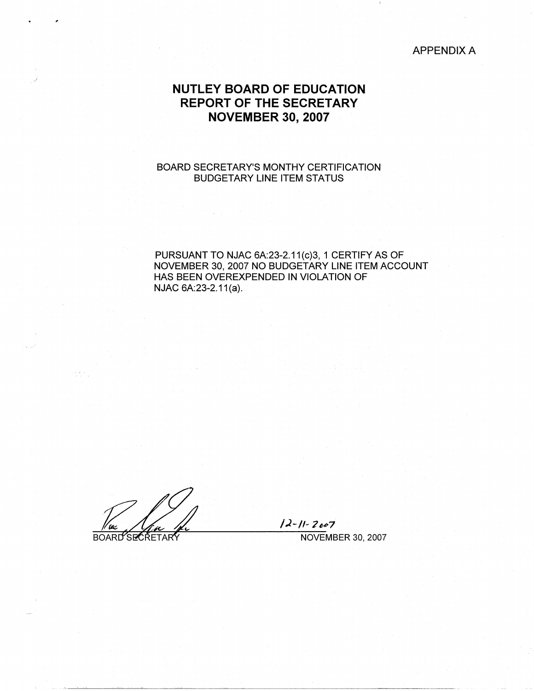APPENDIX A

# **NUTLEY BOARD OF EDUCATION REPORT OF THE SECRETARY NOVEMBER 30, 2007**

## BOARD SECRETARY'S MONTHY CERTIFICATION BUDGETARY LINE ITEM STATUS

PURSUANT TO NJAC 6A:23-2.11(c)3, 1 CERTIFY AS OF NOVEMBER 30, 2007 NO BUDGETARY LINE ITEM ACCOUNT HAS BEEN OVEREXPENDED IN VIOLATION OF NJAC 6A:23-2.11(a).

'W

**BOARD'SECRETARY** 

*I* i-1I- 7 *t-'>7*  NOVEMBER 30, 2007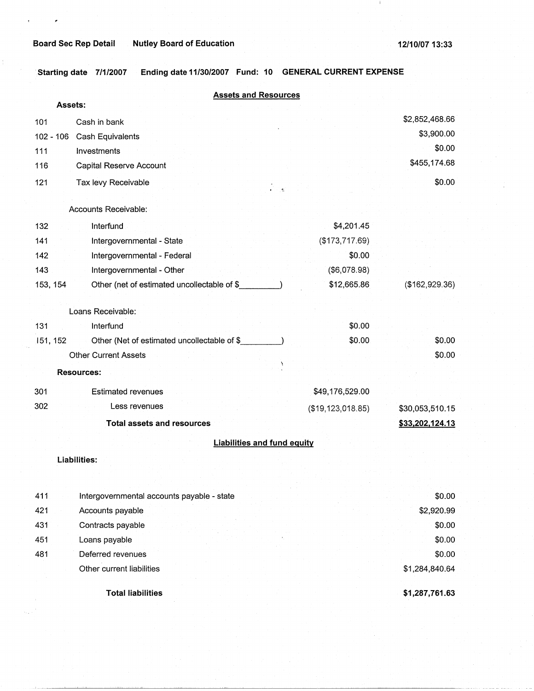**Starting date 7/1/2007 Ending date 11/30/2007 Fund: 10 GENERAL CURRENT EXPENSE** 

|          | <b>Assets and Resources</b>                 |                     |                 |
|----------|---------------------------------------------|---------------------|-----------------|
| Assets:  |                                             |                     |                 |
| 101      | Cash in bank                                |                     | \$2,852,468.66  |
|          | 102 - 106 Cash Equivalents                  |                     | \$3,900.00      |
| 111      | Investments                                 |                     | \$0.00          |
| 116      | Capital Reserve Account                     |                     | \$455,174.68    |
| 121      | Tax levy Receivable                         |                     | \$0.00          |
|          | $\sim$                                      |                     |                 |
|          | Accounts Receivable:                        |                     |                 |
| 132      | Interfund                                   | \$4,201.45          |                 |
| 141      | Intergovernmental - State                   | (\$173,717.69)      |                 |
| 142      | Intergovernmental - Federal                 | \$0.00              |                 |
| 143      | Intergovernmental - Other                   | (\$6,078.98)        |                 |
| 153, 154 | Other (net of estimated uncollectable of \$ | \$12,665.86         | (\$162,929.36)  |
|          |                                             |                     |                 |
|          | Loans Receivable:                           |                     |                 |
| 131      | Interfund                                   | \$0.00              |                 |
| 151, 152 | Other (Net of estimated uncollectable of \$ | \$0.00              | \$0.00          |
|          | <b>Other Current Assets</b>                 |                     | \$0.00          |
|          | <b>Resources:</b>                           |                     |                 |
| 301      | <b>Estimated revenues</b>                   | \$49,176,529.00     |                 |
| 302      | Less revenues                               | (\$19, 123, 018.85) | \$30,053,510.15 |
|          | <b>Total assets and resources</b>           |                     | \$33,202,124.13 |
|          |                                             |                     |                 |
|          | <b>Liabilities and fund equity</b>          |                     |                 |
|          | <b>Liabilities:</b>                         |                     |                 |
|          |                                             |                     |                 |
| 411      | Intergovernmental accounts payable - state  |                     | \$0.00          |
| 421      | Accounts payable                            |                     | \$2,920.99      |
| 431      | Contracts payable                           |                     | \$0.00          |
| 451      | Loans payable                               |                     | \$0.00          |
| 481      | Deferred revenues                           |                     | \$0.00          |
|          | Other current liabilities                   |                     | \$1,284,840.64  |
|          |                                             |                     |                 |
|          | <b>Total liabilities</b>                    |                     | \$1,287,761.63  |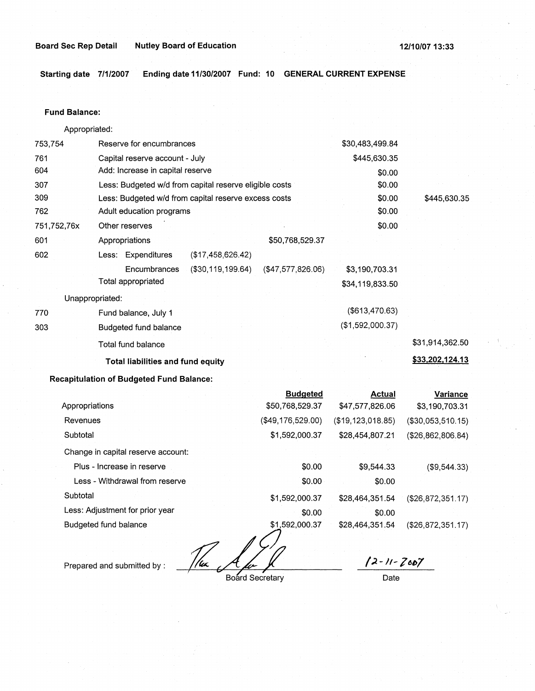**Board Sec Rep Detail Nutley Board of Education 12/10/07 13:33** 

**Starting date 7/1/2007 Ending date 11/30/2007 Fund: 10 GENERAL CURRENT EXPENSE** 

#### **Fund Balance:**

753,754 761 604 307 309 Appropriated: Reserve for encumbrances Capital reserve account - July Add: Increase in capital reserve Less: Budgeted w/d from capital reserve eligible costs Less: Budgeted w/d from capital reserve excess costs \$30,483,499.84 \$445,630.35 \$0.00 \$0.00 \$0.00 \$445,630.35 762 751,752,76x 601 Adult education programs  $$0.00$ Other reserves \$0.00 Appropriations 602 Less: Expenditures (\$17,458,626.42) Encumbrances (\$30,119,199.64) Total appropriated Unappropriated: 770 Fund balance, July 1 303 Budgeted fund balance Total fund balance **Total liabilities and fund equity**  \$50,768,529.37 (\$47,577,826.06) \$3,190,703.31 \$34, 119,833.50 (\$613,470.63) (\$1,592,000.37) \$31,914,362.50 **\$33,202,124.13** 

## **Recapitulation of Budgeted Fund Balance:**

|                                    | <b>Budgeted</b>   | <b>Actual</b>       | Variance           |
|------------------------------------|-------------------|---------------------|--------------------|
| Appropriations                     | \$50,768,529.37   | \$47,577,826.06     | \$3,190,703.31     |
| <b>Revenues</b>                    | (\$49,176,529.00) | (\$19, 123, 018.85) | (\$30,053,510.15)  |
| Subtotal                           | \$1,592,000.37    | \$28,454,807.21     | (\$26,862,806.84)  |
| Change in capital reserve account: |                   |                     |                    |
| Plus - Increase in reserve         | \$0.00            | \$9,544.33          | (\$9,544.33)       |
| Less - Withdrawal from reserve     | \$0.00            | \$0.00              |                    |
| Subtotal                           | \$1,592,000.37    | \$28,464,351.54     | (\$26,872,351.17)  |
| Less: Adjustment for prior year    | \$0.00            | \$0.00              |                    |
| Budgeted fund balance              | \$1,592,000.37    | \$28,464,351.54     | ( \$26.872.351.17) |
|                                    |                   |                     |                    |

1/ux

Prepared and submitted by :

Board Secretary

12-11-7007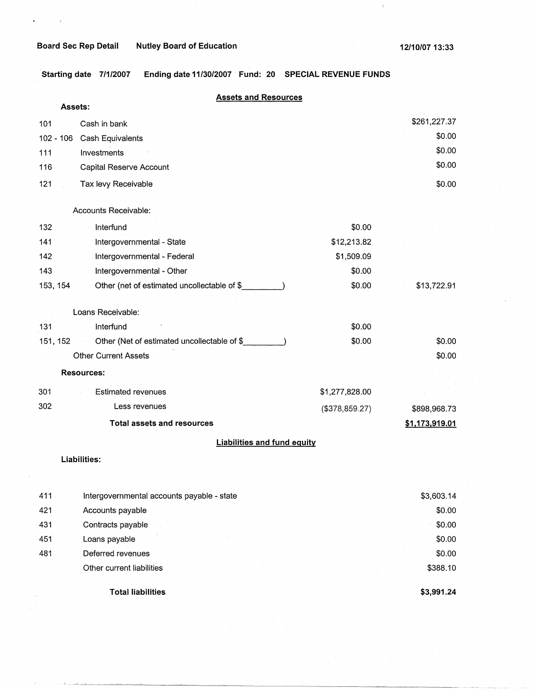**Starting date 7/1/2007 Ending date 11/30/2007 Fund: 20 SPECIAL REVENUE FUNDS** 

|                                                         | <b>Assets and Resources</b>        |                |
|---------------------------------------------------------|------------------------------------|----------------|
| Assets:                                                 |                                    |                |
| Cash in bank<br>101                                     |                                    | \$261,227.37   |
| 102 - 106<br>Cash Equivalents                           |                                    | \$0.00         |
| Investments<br>111                                      |                                    | \$0.00         |
| 116<br>Capital Reserve Account                          |                                    | \$0.00         |
| 121<br>Tax levy Receivable                              |                                    | \$0.00         |
| Accounts Receivable:                                    |                                    |                |
| 132<br>Interfund                                        | \$0.00                             |                |
| 141<br>Intergovernmental - State                        | \$12,213.82                        |                |
| Intergovernmental - Federal<br>142                      | \$1,509.09                         |                |
| 143<br>Intergovernmental - Other                        | \$0.00                             |                |
| 153, 154<br>Other (net of estimated uncollectable of \$ | \$0.00                             | \$13,722.91    |
| Loans Receivable:                                       |                                    |                |
| 131<br>Interfund                                        | \$0.00                             |                |
| Other (Net of estimated uncollectable of \$<br>151, 152 | \$0.00                             | \$0.00         |
| <b>Other Current Assets</b>                             |                                    | \$0.00         |
| <b>Resources:</b>                                       |                                    |                |
| 301<br><b>Estimated revenues</b>                        | \$1,277,828.00                     |                |
| 302<br>Less revenues                                    | (\$378,859.27)                     | \$898,968.73   |
| <b>Total assets and resources</b>                       |                                    | \$1,173,919.01 |
|                                                         | <b>Liabilities and fund equity</b> |                |
| Liabilities:                                            |                                    |                |
|                                                         |                                    |                |
| 411<br>Intergovernmental accounts payable - state       |                                    | \$3,603.14     |
| 421<br>Accounts payable                                 |                                    | \$0.00         |
| 431<br>Contracts payable                                |                                    | \$0.00         |
| 451<br>Loans payable                                    |                                    | \$0.00         |
| 481<br>Deferred revenues                                |                                    | \$0.00         |
| Other current liabilities                               |                                    | \$388.10       |
|                                                         |                                    |                |
| <b>Total liabilities</b>                                |                                    | \$3,991.24     |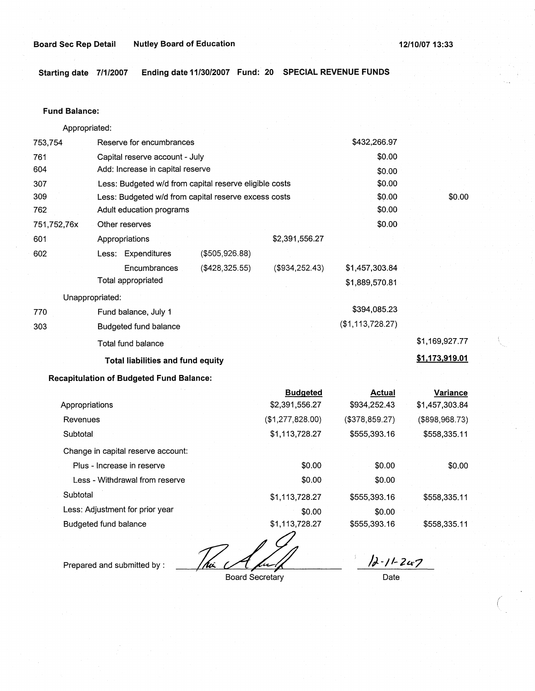**Board Sec Rep Detail Mutley Board of Education 12/10/07 13:33 12/10/07 13:33** 

**Starting date 7/1/2007 Ending date 11/30/2007 Fund: 20 SPECIAL REVENUE FUNDS** 

#### **Fund Balance:**

753,754 761 604 Appropriated: Reserve for encumbrances Capital reserve account - July Add: Increase in capital reserve 307 309 762 751,752,76x 601 Less: Budgeted w/d from capital reserve eligible costs Less: Budgeted w/d from capital reserve excess costs Adult education programs 602 770 303 Other reserves Appropriations Less: Expenditures **Encumbrances** Total appropriated Unappropriated: Fund balance, July 1 Budgeted fund balance Total fund balance \$2,391,556.27 (\$505,926.88) (\$428,325.55) (\$934,252.43) **Total liabilities and fund equity Recapitulation of Budgeted Fund Balance:**  Appropriations **Revenues Subtotal** Change in capital reserve account: Plus - Increase in reserve Less - Withdrawal from reserve **Subtotal Budgeted**  \$2,391,556.27 (\$1,277,828.00) \$1,113,728.27 \$0.00 \$0.00 \$1,113,728.27 \$432,266.97 \$0.00 \$0.00 \$0.00 \$0.00 \$0.00 \$0.00 \$1,457,303.84 \$1,889,570.81 \$394,085.23 (\$1,113,728.27) **Actual**  \$934,252.43 (\$378,859.27) \$555,393.16 \$0.00 \$0.00 \$555,393.16 \$0.00 \$1,169,927.77 **\$1,173,919.01 Variance**  \$1,457,303.84 (\$898,968.73) \$558,335.11 \$0.00 \$558,335.11

Less: Adjustment for prior year Budgeted fund balance

This August Board Secretary

\$0.00

\$1,113,728.27

Prepared and submitted by :

Board Secretary

*/J-I* I- *24·7* 

\$558,335.11

(

Date

\$0.00

\$555,393.16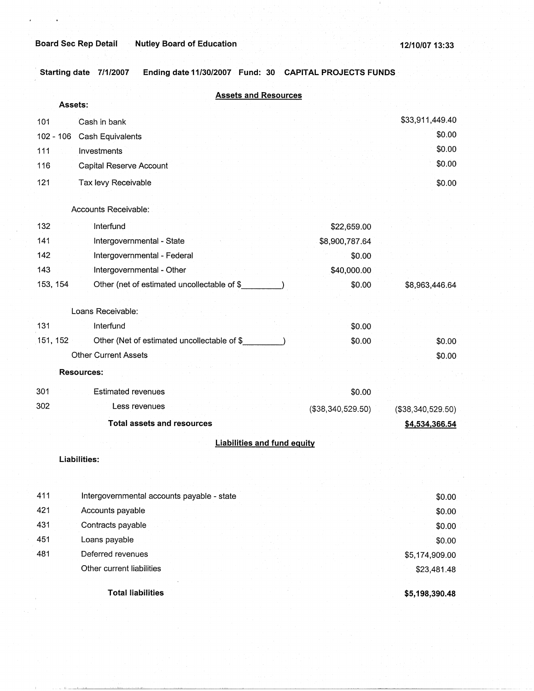## **Board Sec Rep Detail Nutley Board of Education**

. **Starting date 7/1/2007 Ending date 11/30/2007 Fund: 30 CAPITAL PROJECTS FUNDS** 

| <b>Assets and Resources</b>                             |                   |                   |
|---------------------------------------------------------|-------------------|-------------------|
| Assets:                                                 |                   |                   |
| 101<br>Cash in bank                                     |                   | \$33,911,449.40   |
| 102 - 106<br>Cash Equivalents                           |                   | \$0.00            |
| Investments<br>111                                      |                   | \$0.00            |
| 116<br>Capital Reserve Account                          |                   | \$0.00            |
| 121<br>Tax levy Receivable                              |                   | \$0.00            |
|                                                         |                   |                   |
| Accounts Receivable:                                    |                   |                   |
| 132<br>Interfund                                        | \$22,659.00       |                   |
| Intergovernmental - State<br>141                        | \$8,900,787.64    |                   |
| 142<br>Intergovernmental - Federal                      | \$0.00            |                   |
| 143<br>Intergovernmental - Other                        | \$40,000.00       |                   |
| 153, 154<br>Other (net of estimated uncollectable of \$ | \$0.00            | \$8,963,446.64    |
| Loans Receivable:                                       |                   |                   |
| 131<br>Interfund                                        | \$0.00            |                   |
| 151, 152<br>Other (Net of estimated uncollectable of \$ | \$0.00            | \$0.00            |
| <b>Other Current Assets</b>                             |                   | \$0.00            |
| <b>Resources:</b>                                       |                   |                   |
|                                                         |                   |                   |
| 301<br><b>Estimated revenues</b>                        | \$0.00            |                   |
| 302<br>Less revenues                                    | (\$38,340,529.50) | (\$38,340,529.50) |
| <b>Total assets and resources</b>                       |                   | \$4,534,366.54    |
| <b>Liabilities and fund equity</b>                      |                   |                   |
| Liabilities:                                            |                   |                   |
|                                                         |                   |                   |
|                                                         |                   |                   |
| 411<br>Intergovernmental accounts payable - state       |                   | \$0.00            |
| 421<br>Accounts payable                                 |                   | \$0.00            |
| 431<br>Contracts payable                                |                   | \$0.00            |
| 451<br>Loans payable<br>481<br>Deferred revenues        |                   | \$0.00            |
| Other current liabilities                               |                   | \$5,174,909.00    |
|                                                         |                   | \$23,481.48       |
| <b>Total liabilities</b>                                |                   | \$5,198,390.48    |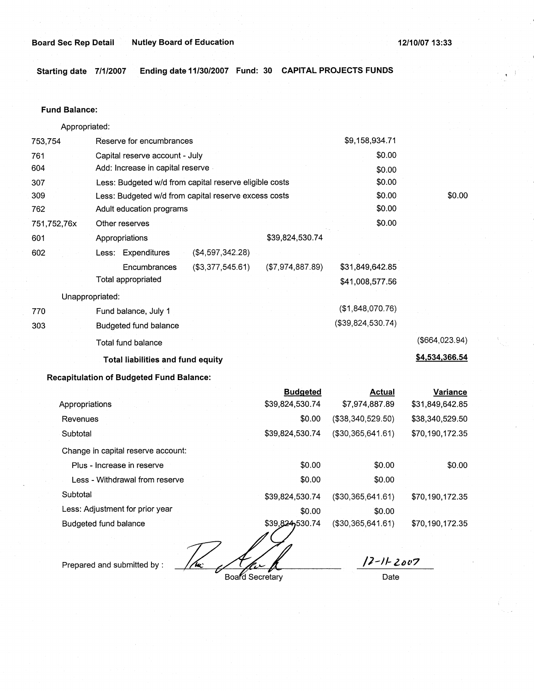## **Board Sec Rep Detail Mutley Board of Education**

**Starting date 7/1/2007 Ending date 11/30/2007 Fund: 30 CAPITAL PROJECTS FUNDS** 

### **Fund Balance:**

| Appropriated:   |                                                        |                  |                     |                |
|-----------------|--------------------------------------------------------|------------------|---------------------|----------------|
| 753,754         | Reserve for encumbrances                               |                  | \$9,158,934.71      |                |
| 761             | Capital reserve account - July                         |                  | \$0.00              |                |
| 604             | Add: Increase in capital reserve                       |                  | \$0.00              |                |
| 307             | Less: Budgeted w/d from capital reserve eligible costs |                  | \$0.00              |                |
| 309             | Less: Budgeted w/d from capital reserve excess costs   |                  | \$0.00              | \$0.00         |
| 762             | Adult education programs                               |                  | \$0.00              |                |
| 751,752,76x     | Other reserves                                         |                  | \$0.00              |                |
| 601             | Appropriations                                         | \$39,824,530.74  |                     |                |
| 602             | Less: Expenditures<br>(\$4,597,342.28)                 |                  |                     |                |
|                 | (\$3,377,545.61)<br>Encumbrances                       | (\$7,974,887.89) | \$31,849,642.85     |                |
|                 | Total appropriated                                     |                  | \$41,008,577.56     |                |
| Unappropriated: |                                                        |                  |                     |                |
| 770             | Fund balance, July 1                                   |                  | $($ \$1,848,070.76) |                |
| 303             | <b>Budgeted fund balance</b>                           |                  | (\$39,824,530.74)   |                |
|                 | Total fund balance                                     |                  |                     | (\$664,023.94) |
|                 | Total liabilities and fund equity                      |                  |                     | \$4,534,366.54 |
|                 | <b>Recapitulation of Budgeted Fund Balance:</b>        |                  |                     |                |

|                                    | <b>Budgeted</b> | <b>Actual</b>        | Variance        |
|------------------------------------|-----------------|----------------------|-----------------|
| Appropriations                     | \$39,824,530.74 | \$7,974,887.89       | \$31,849,642.85 |
| Revenues                           | \$0.00          | (\$38,340,529.50)    | \$38,340,529.50 |
| Subtotal                           | \$39,824,530.74 | (\$30,365,641.61)    | \$70,190,172.35 |
| Change in capital reserve account: |                 |                      |                 |
| Plus - Increase in reserve         | \$0.00          | \$0.00               | \$0.00          |
| Less - Withdrawal from reserve     | \$0.00          | \$0.00               |                 |
| Subtotal                           | \$39,824,530.74 | $($ \$30,365,641.61) | \$70,190,172.35 |
| Less: Adjustment for prior year    | \$0.00          | \$0.00               |                 |
| Budgeted fund balance              | \$39,824,530.74 | (\$30,365,641.61)    | \$70,190,172.35 |
|                                    | ◢,              |                      |                 |

Prepared and submitted by : //www. Board Secretary **12-11-2007**<br>Baard Secretary Date

Date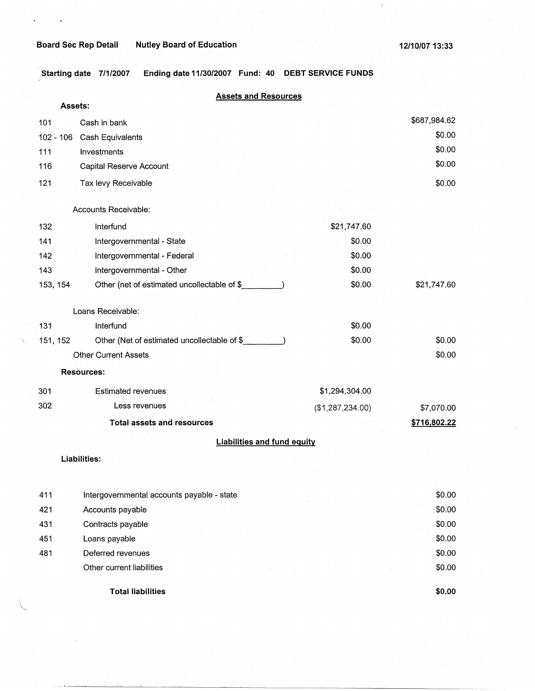$\lambda$ '--- ÷.

**Starting date 7/1/2007 Ending date 11/30/2007 Fund: 40 DEBT SERVICE FUNDS** 

|           | <b>Assets and Resources</b><br>Assets:      |                  |              |
|-----------|---------------------------------------------|------------------|--------------|
| 101       | Cash in bank                                |                  | \$687,984.62 |
| 102 - 106 | Cash Equivalents                            |                  | \$0.00       |
| 111       | Investments                                 |                  | \$0.00       |
| 116       | Capital Reserve Account                     |                  | \$0.00       |
| 121       | Tax levy Receivable                         |                  | \$0.00       |
|           | Accounts Receivable:                        |                  |              |
| 132       | Interfund                                   | \$21,747.60      |              |
| 141       | Intergovernmental - State                   | \$0.00           |              |
| 142       | Intergovernmental - Federal                 | \$0.00           |              |
| 143       | Intergovernmental - Other                   | \$0.00           |              |
| 153, 154  | Other (net of estimated uncollectable of \$ | \$0.00           | \$21,747.60  |
|           | Loans Receivable:                           |                  |              |
| 131       | Interfund                                   | \$0.00           |              |
| 151, 152  | Other (Net of estimated uncollectable of \$ | \$0.00           | \$0.00       |
|           | <b>Other Current Assets</b>                 |                  | \$0.00       |
|           |                                             |                  |              |
|           | <b>Resources:</b>                           |                  |              |
| 301       | <b>Estimated revenues</b>                   | \$1,294,304.00   |              |
| 302       | Less revenues                               | (\$1,287,234.00) | \$7,070.00   |
|           | <b>Total assets and resources</b>           |                  | \$716,802.22 |
|           | <b>Liabilities and fund equity</b>          |                  |              |
|           | <b>Liabilities:</b>                         |                  |              |
|           |                                             |                  |              |
| 411       | Intergovernmental accounts payable - state  |                  | \$0.00       |
| 421       | Accounts payable                            |                  | \$0.00       |
| 431       | Contracts payable                           |                  | \$0.00       |
| 451       | Loans payable                               |                  | \$0.00       |
| 481       | Deferred revenues                           |                  | \$0.00       |
|           | Other current liabilities                   |                  | \$0.00       |
|           | <b>Total liabilities</b>                    |                  | \$0.00       |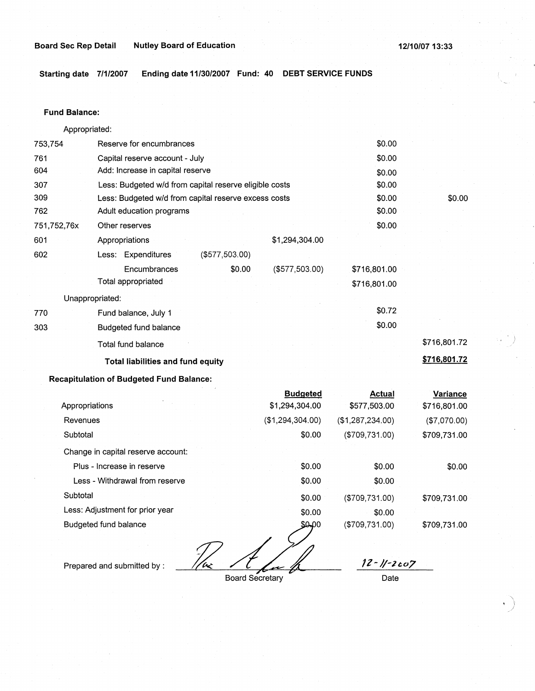**Board Sec Rep Detail Nutley Board of Education 12/10/07 13:33** 

**Starting date 7/1/2007 Ending date 11/30/2007 Fund: 40 DEBT SERVICE FUNDS** 

### **Fund Balance:**

753,754 761 604 Appropriated: Reserve for encumbrances Capital reserve account - July Add: Increase in capital reserve 307 309 762 751,752,76x 601 Less: Budgeted w/d from capital reserve eligible costs Less: Budgeted w/d from capital reserve excess costs Adult education programs 602 770 303 Other reserves Appropriations Less: Expenditures **Encumbrances** Total appropriated Unappropriated: Fund balance, July 1 Budgeted fund balance Total fund balance (\$577,503.00) \$0.00 \$1,294,304.00 (\$577,503.00) **Total liabilities and fund equity Recapitulation of Budgeted Fund Balance: Budgeted**  Appropriations \$1,294,304.00 \$0.00 \$0.00 \$0.00 \$0.00 \$0.00 \$0.00 \$0.00 \$716,801.00 \$716,801.00 \$0.72 \$0.00 **Actual**  \$577,503.00 \$0.00 \$716,801.72 **\$716,801.72 Variance**   $716,801,00$ 

| Appropriations                               | <b>\$1,254,004.00</b> | <b>JUU.CUU. I IGU</b> | 0.10001.00   |
|----------------------------------------------|-----------------------|-----------------------|--------------|
| Revenues                                     | (\$1,294,304.00)      | (\$1,287,234.00)      | (\$7,070.00) |
| Subtotal                                     | \$0.00                | (\$709,731.00)        | \$709,731.00 |
| Change in capital reserve account:           |                       |                       |              |
| Plus - Increase in reserve                   | \$0.00                | \$0.00                | \$0.00       |
| Less - Withdrawal from reserve               | \$0.00                | \$0.00                |              |
| Subtotal                                     | \$0.00                | (\$709,731.00)        | \$709,731.00 |
| Less: Adjustment for prior year              | \$0.00                | \$0.00                |              |
| Budgeted fund balance                        | \$0,00                | ( \$709, 731.00)      | \$709,731.00 |
|                                              |                       |                       |              |
| Figure and all are all accelerated at the co |                       | $17 - 11 - 2007$      |              |

*1Z-)/-1co7* 

• \ *J* -

Prepared and submitted by :

Board Secretary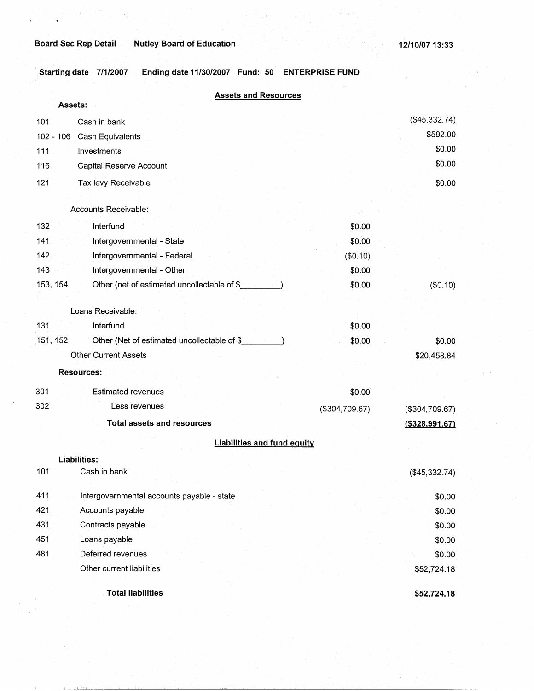$\perp$ 

. **Starting date 7/1/2007 Ending date 11/30/2007 Fund: 50 ENTERPRISE FUND** 

|             | <b>Assets and Resources</b><br>Assets:      |                |                   |
|-------------|---------------------------------------------|----------------|-------------------|
| 101         | Cash in bank                                |                | (\$45,332.74)     |
| $102 - 106$ | Cash Equivalents                            |                | \$592.00          |
| 111         | Investments                                 |                | \$0.00            |
| 116         | Capital Reserve Account                     |                | \$0.00            |
| 121         | Tax levy Receivable                         |                | \$0.00            |
|             | Accounts Receivable:                        |                |                   |
| 132         | Interfund                                   | \$0.00         |                   |
| 141         | Intergovernmental - State                   | \$0.00         |                   |
| 142         | Intergovernmental - Federal                 | (\$0.10)       |                   |
| 143         | Intergovernmental - Other                   | \$0.00         |                   |
| 153, 154    | Other (net of estimated uncollectable of \$ | \$0.00         | (\$0.10)          |
|             | Loans Receivable:                           |                |                   |
| 131         | Interfund                                   | \$0.00         |                   |
| 151, 152    | Other (Net of estimated uncollectable of \$ | \$0.00         | \$0.00            |
|             | <b>Other Current Assets</b>                 |                | \$20,458.84       |
|             | <b>Resources:</b>                           |                |                   |
| 301         | <b>Estimated revenues</b>                   | \$0.00         |                   |
| 302         | Less revenues                               | (\$304,709.67) | (\$304,709.67)    |
|             | <b>Total assets and resources</b>           |                | $($ \$328,991.67) |
|             | <b>Liabilities and fund equity</b>          |                |                   |
|             | <b>Liabilities:</b>                         |                |                   |
| 101         | Cash in bank                                |                | (\$45,332.74)     |
| 411         | Intergovernmental accounts payable - state  |                | \$0.00            |
| 421         | Accounts payable                            |                | \$0.00            |
| 431         | Contracts payable                           |                | \$0.00            |
| 451         | Loans payable                               |                | \$0.00            |
| 481         | Deferred revenues                           |                | \$0.00            |
|             | Other current liabilities                   |                | \$52,724.18       |
|             | <b>Total liabilities</b>                    |                | \$52,724.18       |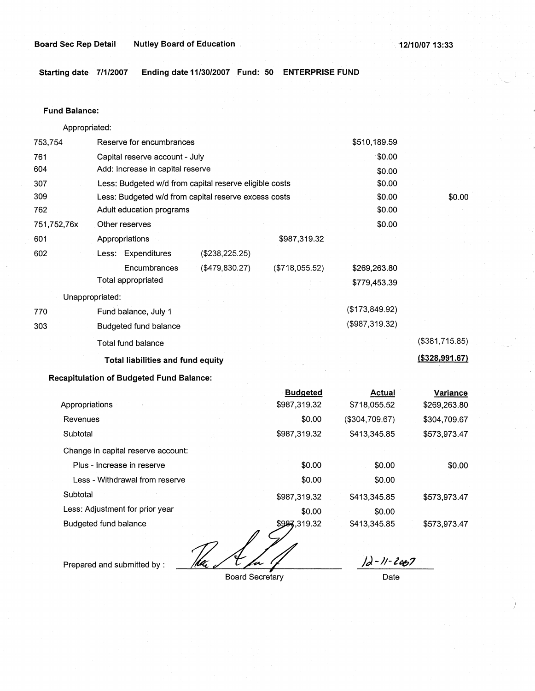**Board Sec Rep Detail Mutley Board of Education 120 and 12/10/07 13:33 12/10/07 13:33** 

**Starting date 7/1/2007 Ending date 11/30/2007 Fund: 50 ENTERPRISE FUND** 

#### **Fund Balance:**

753,754 761 604 Appropriated: Reserve for encumbrances Capital reserve account - July Add: Increase in capital reserve 307 309 762 751,752,76x 601 Less: Budgeted w/d from capital reserve eligible costs Less: Budgeted w/d from capital reserve excess costs Adult education programs 602 770 303 Other reserves Appropriations Less: Expenditures **Encumbrances** Total appropriated Unappropriated: Fund balance, July 1 Budgeted fund balance Total fund balance (\$238,225.25) (\$479,830.27) \$987,319.32 (\$718,055.52) **Total liabilities and fund equity**  \$510,189.59 \$0.00 \$0.00 \$0.00 \$0.00 \$0.00 \$0.00 \$269,263.80 \$779,453.39 (\$173,849.92) (\$987,319.32) \$0.00 (\$381,715.85) **(\$328,991.67)** 

### **Recapitulation of Budgeted Fund Balance:**

|                                    | <b>Budgeted</b> | Actual         | Variance     |
|------------------------------------|-----------------|----------------|--------------|
| Appropriations                     | \$987,319.32    | \$718,055.52   | \$269,263.80 |
| Revenues                           | \$0.00          | (\$304,709.67) | \$304,709.67 |
| Subtotal                           | \$987,319.32    | \$413,345.85   | \$573,973.47 |
| Change in capital reserve account: |                 |                |              |
| Plus - Increase in reserve         | \$0.00          | \$0.00         | \$0.00       |
| Less - Withdrawal from reserve     | \$0.00          | \$0.00         |              |
| Subtotal                           | \$987,319.32    | \$413,345.85   | \$573,973.47 |
| Less: Adjustment for prior year    | \$0.00          | \$0.00         |              |
| Budgeted fund balance              | \$987,319.32    | \$413,345.85   | \$573,973.47 |
|                                    |                 |                |              |
|                                    |                 |                |              |

Prepared and submitted by :

Board Secretary

**))-J/-l~7**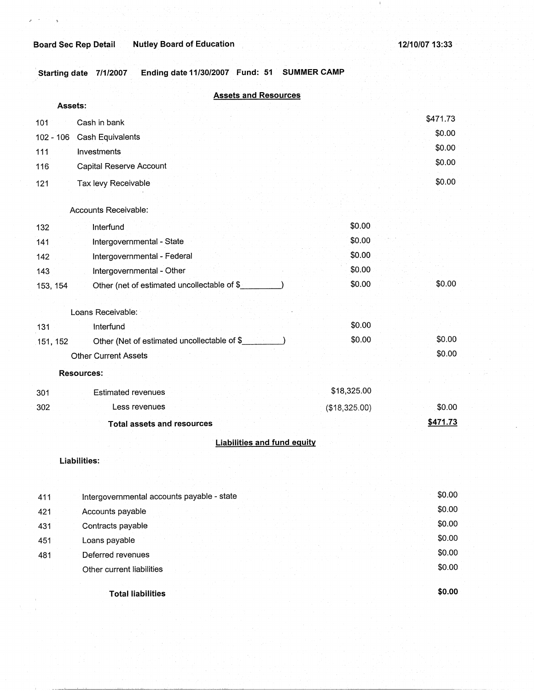$\sim$ 

 $\mathbf{I}$ 

, **Starting date 7/1/2007 Ending date 11/30/2007 Fund: 51 SUMMER CAMP** 

|           | <b>Assets and Resources</b>                 |               |          |
|-----------|---------------------------------------------|---------------|----------|
|           | Assets:                                     |               |          |
| 101       | Cash in bank                                |               | \$471.73 |
| 102 - 106 | <b>Cash Equivalents</b>                     |               | \$0.00   |
| 111       | Investments                                 |               | \$0.00   |
| 116       | Capital Reserve Account                     |               | \$0.00   |
| 121       | Tax levy Receivable                         |               | \$0.00   |
|           | Accounts Receivable:                        |               |          |
| 132       | Interfund                                   | \$0.00        |          |
| 141       | Intergovernmental - State                   | \$0.00        |          |
| 142       | Intergovernmental - Federal                 | \$0.00        |          |
| 143       | Intergovernmental - Other                   | \$0.00        |          |
| 153, 154  | Other (net of estimated uncollectable of \$ | \$0.00        | \$0.00   |
|           | Loans Receivable:                           |               |          |
| 131       | Interfund                                   | \$0.00        |          |
| 151, 152  | Other (Net of estimated uncollectable of \$ | \$0.00        | \$0.00   |
|           | <b>Other Current Assets</b>                 |               | \$0.00   |
|           | <b>Resources:</b>                           |               |          |
| 301       | <b>Estimated revenues</b>                   | \$18,325.00   |          |
| 302       | Less revenues                               | (\$18,325.00) | \$0.00   |
|           | <b>Total assets and resources</b>           |               | \$471.73 |
|           | <b>Liabilities and fund equity</b>          |               |          |
|           | Liabilities:                                |               |          |
|           |                                             |               |          |
| 411       | Intergovernmental accounts payable - state  |               | \$0.00   |
| 421       | Accounts payable                            |               | \$0.00   |
| 431       | Contracts payable                           |               | \$0.00   |
| 451       | Loans payable                               |               | \$0.00   |
| 481       | Deferred revenues                           |               | \$0.00   |
|           | Other current liabilities                   |               | \$0.00   |
|           | <b>Total liabilities</b>                    |               | \$0.00   |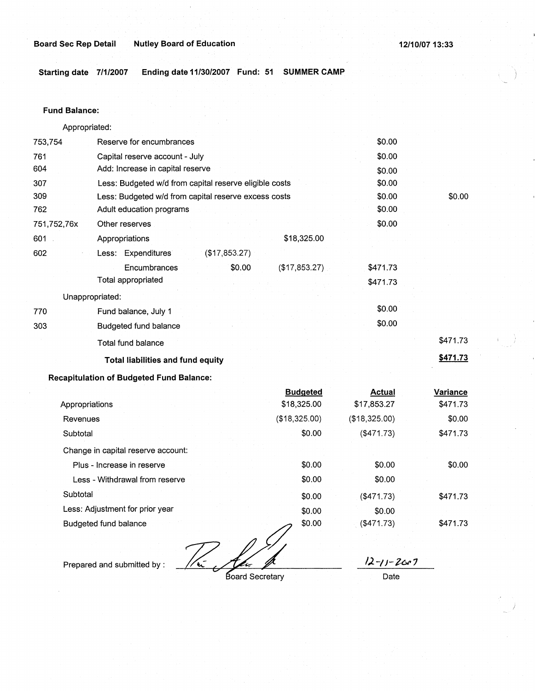**Board Sec Rep Detail Nutley Board of Education 12/10/07 13:33 12/10/07 13:33** 

**Starting date 7/1/2007 Ending date 11/30/2007 Fund: 51 SUMMER CAMP** 

### **Fund Balance:**

Appropriated:

| 753,754         | Reserve for encumbrances                               | \$0.00   |          |
|-----------------|--------------------------------------------------------|----------|----------|
| 761             | Capital reserve account - July                         | \$0.00   |          |
| 604             | Add: Increase in capital reserve                       | \$0.00   |          |
| 307             | Less: Budgeted w/d from capital reserve eligible costs | \$0.00   |          |
| 309             | Less: Budgeted w/d from capital reserve excess costs   | \$0.00   | \$0.00   |
| 762             | Adult education programs                               | \$0.00   |          |
| 751,752,76x     | Other reserves                                         | \$0.00   |          |
| 601             | \$18,325.00<br>Appropriations                          |          |          |
| 602             | (\$17,853.27)<br>Less: Expenditures                    |          |          |
|                 | $($17,853.27)$ .<br>\$0.00<br>Encumbrances             | \$471.73 |          |
|                 | Total appropriated                                     | \$471.73 |          |
| Unappropriated: |                                                        |          |          |
| 770             | Fund balance, July 1                                   | \$0.00   |          |
| 303             | Budgeted fund balance                                  | \$0.00   |          |
|                 | Total fund balance                                     |          | \$471.73 |
|                 | <b>Total liabilities and fund equity</b>               |          | \$471.73 |

**Recapitulation of Budgeted Fund Balance:** 

|                                            | <b>Budgeted</b> | <b>Actual</b>    | Variance |  |
|--------------------------------------------|-----------------|------------------|----------|--|
| Appropriations                             | \$18,325.00     | \$17,853.27      | \$471.73 |  |
| Revenues                                   | (\$18,325.00)   | (\$18,325.00)    | \$0.00   |  |
| Subtotal                                   | \$0.00          | (\$471.73)       | \$471.73 |  |
| Change in capital reserve account:         |                 |                  |          |  |
| Plus - Increase in reserve                 | \$0.00          | \$0.00           | \$0.00   |  |
| Less - Withdrawal from reserve             | \$0.00          | \$0.00           |          |  |
| Subtotal                                   | \$0.00          | (\$471.73)       | \$471.73 |  |
| Less: Adjustment for prior year            | \$0.00          | \$0.00           |          |  |
| Budgeted fund balance                      | \$0.00          | $($ \$471.73)    | \$471.73 |  |
|                                            |                 |                  |          |  |
| $\mathbf{t}$<br>Prepared and submitted by: |                 | $12 - 11 - 2607$ |          |  |

Prepared and submitted by :  $\frac{1}{\sqrt{2}}$  Board Secretary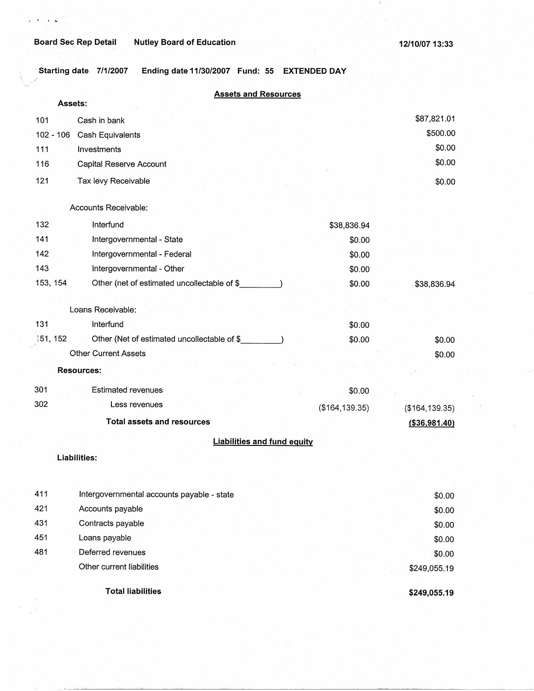## **Board Sec Rep Detail Mutley Board of Education**

ساولته لا

**12/10/07 13:33** 

· **Starting date 7/1/2007 Ending date 11/30/2007 Fund: 55 EXTENDED DAY** 

| <b>Assets and Resources</b>                                       |                 |                 |
|-------------------------------------------------------------------|-----------------|-----------------|
| Assets:                                                           |                 |                 |
| 101<br>Cash in bank                                               |                 | \$87,821.01     |
| $102 - 106$<br>Cash Equivalents                                   |                 | \$500.00        |
| 111<br>Investments                                                |                 | \$0.00          |
| 116<br>Capital Reserve Account                                    |                 | \$0.00          |
| 121<br>Tax levy Receivable                                        |                 | \$0.00          |
| Accounts Receivable:                                              |                 |                 |
| 132<br>Interfund                                                  | \$38,836.94     |                 |
| 141<br>Intergovernmental - State                                  | \$0.00          |                 |
| 142<br>Intergovernmental - Federal                                | \$0.00          |                 |
| 143<br>Intergovernmental - Other                                  | \$0.00          |                 |
| 153, 154<br>Other (net of estimated uncollectable of \$           | \$0.00          | \$38,836.94     |
| Loans Receivable:                                                 |                 |                 |
| 131<br>Interfund                                                  | \$0.00          |                 |
| 151, 152<br>Other (Net of estimated uncollectable of \$_________) | \$0.00          | \$0.00          |
| <b>Other Current Assets</b>                                       |                 | \$0.00          |
| <b>Resources:</b>                                                 |                 |                 |
|                                                                   |                 |                 |
| 301<br><b>Estimated revenues</b>                                  | \$0.00          |                 |
| 302<br>Less revenues                                              | (\$164, 139.35) | (\$164, 139.35) |
| <b>Total assets and resources</b>                                 |                 | ( \$36, 981.40) |
| <b>Liabilities and fund equity</b>                                |                 |                 |
| Liabilities:                                                      |                 |                 |
|                                                                   |                 |                 |
| 411<br>Intergovernmental accounts payable - state                 |                 | \$0.00          |
| 421<br>Accounts payable                                           |                 | \$0.00          |
| 431<br>Contracts payable                                          |                 | \$0.00          |
| 451<br>Loans payable                                              |                 | \$0.00          |
| 481<br>Deferred revenues                                          |                 | \$0.00          |
| Other current liabilities                                         |                 | \$249,055.19    |
| <b>Total liabilities</b>                                          |                 | \$249,055.19    |